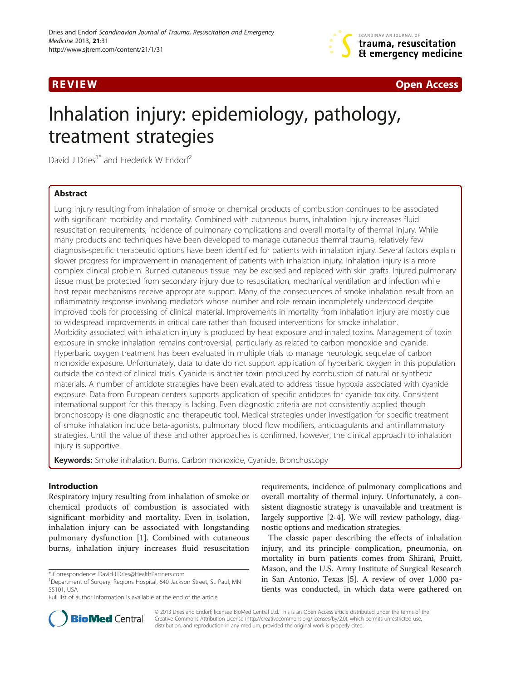



# Inhalation injury: epidemiology, pathology, treatment strategies

David J Dries<sup>1\*</sup> and Frederick W Endorf<sup>2</sup>

# Abstract

Lung injury resulting from inhalation of smoke or chemical products of combustion continues to be associated with significant morbidity and mortality. Combined with cutaneous burns, inhalation injury increases fluid resuscitation requirements, incidence of pulmonary complications and overall mortality of thermal injury. While many products and techniques have been developed to manage cutaneous thermal trauma, relatively few diagnosis-specific therapeutic options have been identified for patients with inhalation injury. Several factors explain slower progress for improvement in management of patients with inhalation injury. Inhalation injury is a more complex clinical problem. Burned cutaneous tissue may be excised and replaced with skin grafts. Injured pulmonary tissue must be protected from secondary injury due to resuscitation, mechanical ventilation and infection while host repair mechanisms receive appropriate support. Many of the consequences of smoke inhalation result from an inflammatory response involving mediators whose number and role remain incompletely understood despite improved tools for processing of clinical material. Improvements in mortality from inhalation injury are mostly due to widespread improvements in critical care rather than focused interventions for smoke inhalation. Morbidity associated with inhalation injury is produced by heat exposure and inhaled toxins. Management of toxin exposure in smoke inhalation remains controversial, particularly as related to carbon monoxide and cyanide. Hyperbaric oxygen treatment has been evaluated in multiple trials to manage neurologic sequelae of carbon monoxide exposure. Unfortunately, data to date do not support application of hyperbaric oxygen in this population outside the context of clinical trials. Cyanide is another toxin produced by combustion of natural or synthetic materials. A number of antidote strategies have been evaluated to address tissue hypoxia associated with cyanide exposure. Data from European centers supports application of specific antidotes for cyanide toxicity. Consistent international support for this therapy is lacking. Even diagnostic criteria are not consistently applied though bronchoscopy is one diagnostic and therapeutic tool. Medical strategies under investigation for specific treatment of smoke inhalation include beta-agonists, pulmonary blood flow modifiers, anticoagulants and antiinflammatory strategies. Until the value of these and other approaches is confirmed, however, the clinical approach to inhalation injury is supportive.

**Keywords:** Smoke inhalation, Burns, Carbon monoxide, Cyanide, Bronchoscopy

# Introduction

Respiratory injury resulting from inhalation of smoke or chemical products of combustion is associated with significant morbidity and mortality. Even in isolation, inhalation injury can be associated with longstanding pulmonary dysfunction [[1\]](#page-12-0). Combined with cutaneous burns, inhalation injury increases fluid resuscitation

requirements, incidence of pulmonary complications and overall mortality of thermal injury. Unfortunately, a consistent diagnostic strategy is unavailable and treatment is largely supportive [\[2-4](#page-12-0)]. We will review pathology, diagnostic options and medication strategies.

The classic paper describing the effects of inhalation injury, and its principle complication, pneumonia, on mortality in burn patients comes from Shirani, Pruitt, Mason, and the U.S. Army Institute of Surgical Research in San Antonio, Texas [[5\]](#page-12-0). A review of over 1,000 patients was conducted, in which data were gathered on



© 2013 Dries and Endorf; licensee BioMed Central Ltd. This is an Open Access article distributed under the terms of the Creative Commons Attribution License (<http://creativecommons.org/licenses/by/2.0>), which permits unrestricted use, distribution, and reproduction in any medium, provided the original work is properly cited.

<sup>\*</sup> Correspondence: [David.J.Dries@HealthPartners.com](mailto:David.J.Dries@HealthPartners.com) <sup>1</sup>

<sup>&</sup>lt;sup>1</sup>Department of Surgery, Regions Hospital, 640 Jackson Street, St. Paul, MN 55101, USA

Full list of author information is available at the end of the article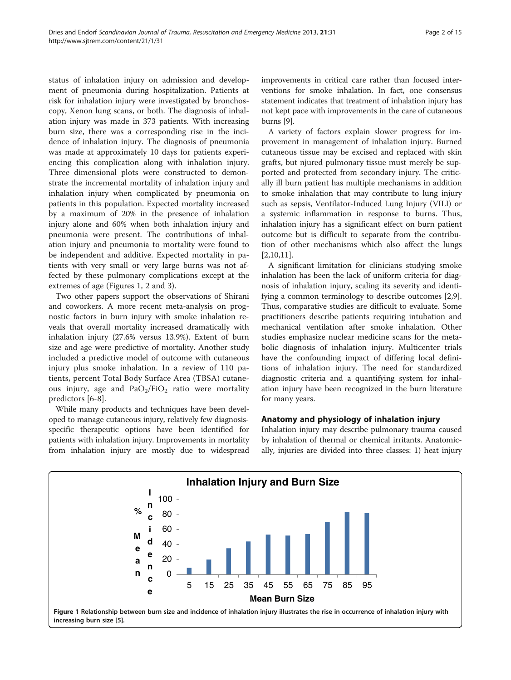status of inhalation injury on admission and development of pneumonia during hospitalization. Patients at risk for inhalation injury were investigated by bronchoscopy, Xenon lung scans, or both. The diagnosis of inhalation injury was made in 373 patients. With increasing burn size, there was a corresponding rise in the incidence of inhalation injury. The diagnosis of pneumonia was made at approximately 10 days for patients experiencing this complication along with inhalation injury. Three dimensional plots were constructed to demonstrate the incremental mortality of inhalation injury and inhalation injury when complicated by pneumonia on patients in this population. Expected mortality increased by a maximum of 20% in the presence of inhalation injury alone and 60% when both inhalation injury and pneumonia were present. The contributions of inhalation injury and pneumonia to mortality were found to be independent and additive. Expected mortality in patients with very small or very large burns was not affected by these pulmonary complications except at the extremes of age (Figures 1, [2](#page-2-0) and [3](#page-2-0)).

Two other papers support the observations of Shirani and coworkers. A more recent meta-analysis on prognostic factors in burn injury with smoke inhalation reveals that overall mortality increased dramatically with inhalation injury (27.6% versus 13.9%). Extent of burn size and age were predictive of mortality. Another study included a predictive model of outcome with cutaneous injury plus smoke inhalation. In a review of 110 patients, percent Total Body Surface Area (TBSA) cutaneous injury, age and  $PaO<sub>2</sub>/FiO<sub>2</sub>$  ratio were mortality predictors [[6-8](#page-12-0)].

While many products and techniques have been developed to manage cutaneous injury, relatively few diagnosisspecific therapeutic options have been identified for patients with inhalation injury. Improvements in mortality from inhalation injury are mostly due to widespread improvements in critical care rather than focused interventions for smoke inhalation. In fact, one consensus statement indicates that treatment of inhalation injury has not kept pace with improvements in the care of cutaneous burns [\[9](#page-12-0)].

A variety of factors explain slower progress for improvement in management of inhalation injury. Burned cutaneous tissue may be excised and replaced with skin grafts, but njured pulmonary tissue must merely be supported and protected from secondary injury. The critically ill burn patient has multiple mechanisms in addition to smoke inhalation that may contribute to lung injury such as sepsis, Ventilator-Induced Lung Injury (VILI) or a systemic inflammation in response to burns. Thus, inhalation injury has a significant effect on burn patient outcome but is difficult to separate from the contribution of other mechanisms which also affect the lungs [[2,10,11\]](#page-12-0).

A significant limitation for clinicians studying smoke inhalation has been the lack of uniform criteria for diagnosis of inhalation injury, scaling its severity and identifying a common terminology to describe outcomes [\[2,9](#page-12-0)]. Thus, comparative studies are difficult to evaluate. Some practitioners describe patients requiring intubation and mechanical ventilation after smoke inhalation. Other studies emphasize nuclear medicine scans for the metabolic diagnosis of inhalation injury. Multicenter trials have the confounding impact of differing local definitions of inhalation injury. The need for standardized diagnostic criteria and a quantifying system for inhalation injury have been recognized in the burn literature for many years.

# Anatomy and physiology of inhalation injury

Inhalation injury may describe pulmonary trauma caused by inhalation of thermal or chemical irritants. Anatomically, injuries are divided into three classes: 1) heat injury

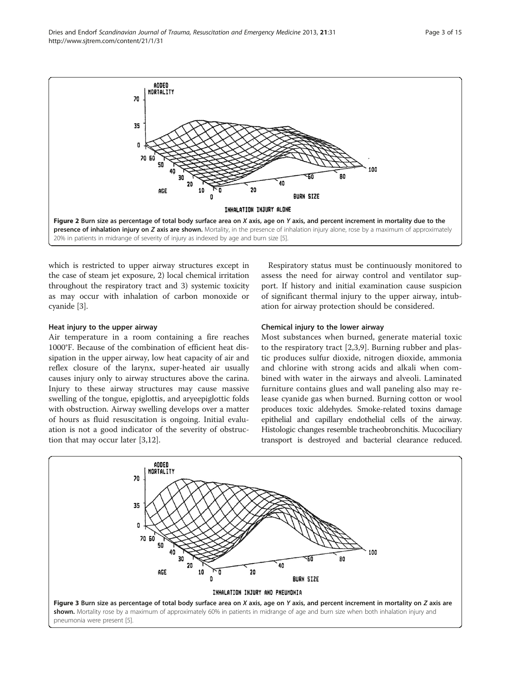<span id="page-2-0"></span>

which is restricted to upper airway structures except in the case of steam jet exposure, 2) local chemical irritation throughout the respiratory tract and 3) systemic toxicity as may occur with inhalation of carbon monoxide or cyanide [[3](#page-12-0)].

# Heat injury to the upper airway

Air temperature in a room containing a fire reaches 1000°F. Because of the combination of efficient heat dissipation in the upper airway, low heat capacity of air and reflex closure of the larynx, super-heated air usually causes injury only to airway structures above the carina. Injury to these airway structures may cause massive swelling of the tongue, epiglottis, and aryeepiglottic folds with obstruction. Airway swelling develops over a matter of hours as fluid resuscitation is ongoing. Initial evaluation is not a good indicator of the severity of obstruction that may occur later [[3,12\]](#page-12-0).

Respiratory status must be continuously monitored to assess the need for airway control and ventilator support. If history and initial examination cause suspicion of significant thermal injury to the upper airway, intubation for airway protection should be considered.

# Chemical injury to the lower airway

Most substances when burned, generate material toxic to the respiratory tract [\[2](#page-12-0),[3,9\]](#page-12-0). Burning rubber and plastic produces sulfur dioxide, nitrogen dioxide, ammonia and chlorine with strong acids and alkali when combined with water in the airways and alveoli. Laminated furniture contains glues and wall paneling also may release cyanide gas when burned. Burning cotton or wool produces toxic aldehydes. Smoke-related toxins damage epithelial and capillary endothelial cells of the airway. Histologic changes resemble tracheobronchitis. Mucociliary transport is destroyed and bacterial clearance reduced.

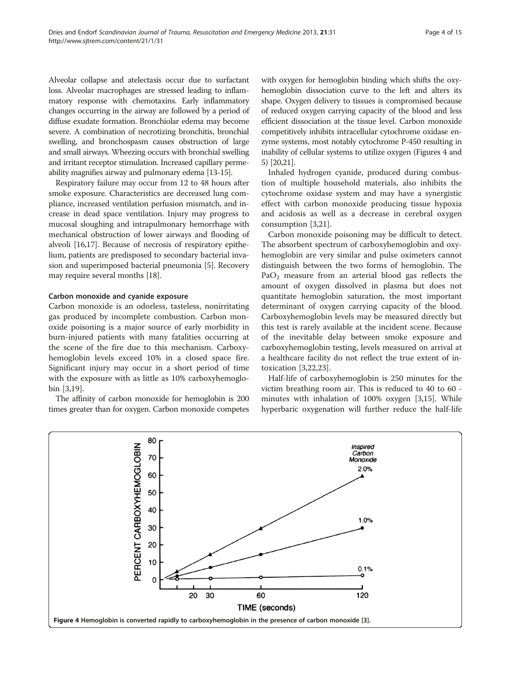Alveolar collapse and atelectasis occur due to surfactant loss. Alveolar macrophages are stressed leading to inflammatory response with chemotaxins. Early inflammatory changes occurring in the airway are followed by a period of diffuse exudate formation. Bronchiolar edema may become severe. A combination of necrotizing bronchitis, bronchial swelling, and bronchospasm causes obstruction of large and small airways. Wheezing occurs with bronchial swelling and irritant receptor stimulation. Increased capillary permeability magnifies airway and pulmonary edema [\[13](#page-12-0)-[15](#page-12-0)].

Respiratory failure may occur from 12 to 48 hours after smoke exposure. Characteristics are decreased lung compliance, increased ventilation perfusion mismatch, and increase in dead space ventilation. Injury may progress to mucosal sloughing and intrapulmonary hemorrhage with mechanical obstruction of lower airways and flooding of alveoli [\[16,17](#page-12-0)]. Because of necrosis of respiratory epithelium, patients are predisposed to secondary bacterial invasion and superimposed bacterial pneumonia [\[5](#page-12-0)]. Recovery may require several months [\[18\]](#page-12-0).

#### Carbon monoxide and cyanide exposure

Carbon monoxide is an odorless, tasteless, nonirritating gas produced by incomplete combustion. Carbon monoxide poisoning is a major source of early morbidity in burn-injured patients with many fatalities occurring at the scene of the fire due to this mechanism. Carboxyhemoglobin levels exceed 10% in a closed space fire. Significant injury may occur in a short period of time with the exposure with as little as 10% carboxyhemoglobin [[3,19\]](#page-12-0).

The affinity of carbon monoxide for hemoglobin is 200 times greater than for oxygen. Carbon monoxide competes

with oxygen for hemoglobin binding which shifts the oxyhemoglobin dissociation curve to the left and alters its shape. Oxygen delivery to tissues is compromised because of reduced oxygen carrying capacity of the blood and less efficient dissociation at the tissue level. Carbon monoxide competitively inhibits intracellular cytochrome oxidase enzyme systems, most notably cytochrome P-450 resulting in inability of cellular systems to utilize oxygen (Figures 4 and [5](#page-4-0)) [\[20,21](#page-12-0)].

Inhaled hydrogen cyanide, produced during combustion of multiple household materials, also inhibits the cytochrome oxidase system and may have a synergistic effect with carbon monoxide producing tissue hypoxia and acidosis as well as a decrease in cerebral oxygen consumption [[3](#page-12-0),[21](#page-12-0)].

Carbon monoxide poisoning may be difficult to detect. The absorbent spectrum of carboxyhemoglobin and oxyhemoglobin are very similar and pulse oximeters cannot distinguish between the two forms of hemoglobin. The  $PaO<sub>2</sub>$  measure from an arterial blood gas reflects the amount of oxygen dissolved in plasma but does not quantitate hemoglobin saturation, the most important determinant of oxygen carrying capacity of the blood. Carboxyhemoglobin levels may be measured directly but this test is rarely available at the incident scene. Because of the inevitable delay between smoke exposure and carboxyhemoglobin testing, levels measured on arrival at a healthcare facility do not reflect the true extent of intoxication [[3](#page-12-0),[22](#page-12-0),[23](#page-12-0)].

Half-life of carboxyhemoglobin is 250 minutes for the victim breathing room air. This is reduced to 40 to 60 minutes with inhalation of 100% oxygen [[3,15\]](#page-12-0). While hyperbaric oxygenation will further reduce the half-life

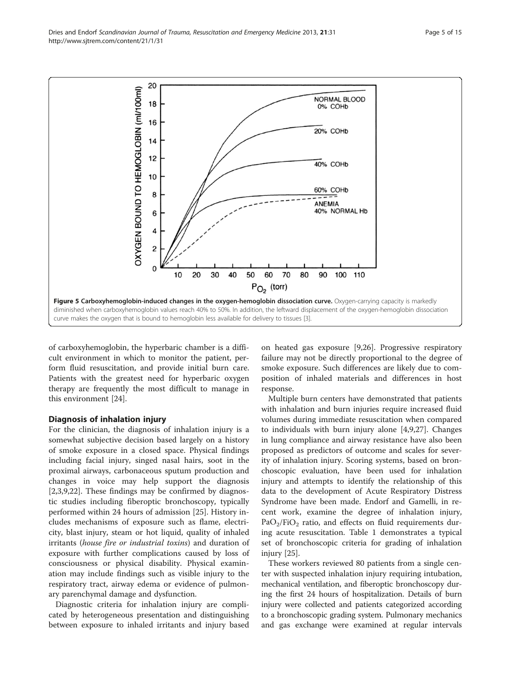<span id="page-4-0"></span>Dries and Endorf Scandinavian Journal of Trauma, Resuscitation and Emergency Medicine 2013, 21:31 Page 5 of 15 http://www.sjtrem.com/content/21/1/31



of carboxyhemoglobin, the hyperbaric chamber is a difficult environment in which to monitor the patient, perform fluid resuscitation, and provide initial burn care. Patients with the greatest need for hyperbaric oxygen therapy are frequently the most difficult to manage in this environment [[24\]](#page-12-0).

# Diagnosis of inhalation injury

For the clinician, the diagnosis of inhalation injury is a somewhat subjective decision based largely on a history of smoke exposure in a closed space. Physical findings including facial injury, singed nasal hairs, soot in the proximal airways, carbonaceous sputum production and changes in voice may help support the diagnosis [[2,3,9,22\]](#page-12-0). These findings may be confirmed by diagnostic studies including fiberoptic bronchoscopy, typically performed within 24 hours of admission [[25\]](#page-12-0). History includes mechanisms of exposure such as flame, electricity, blast injury, steam or hot liquid, quality of inhaled irritants (house fire or industrial toxins) and duration of exposure with further complications caused by loss of consciousness or physical disability. Physical examination may include findings such as visible injury to the respiratory tract, airway edema or evidence of pulmonary parenchymal damage and dysfunction.

Diagnostic criteria for inhalation injury are complicated by heterogeneous presentation and distinguishing between exposure to inhaled irritants and injury based on heated gas exposure [[9,26\]](#page-12-0). Progressive respiratory failure may not be directly proportional to the degree of smoke exposure. Such differences are likely due to composition of inhaled materials and differences in host response.

Multiple burn centers have demonstrated that patients with inhalation and burn injuries require increased fluid volumes during immediate resuscitation when compared to individuals with burn injury alone [\[4,9,27](#page-12-0)]. Changes in lung compliance and airway resistance have also been proposed as predictors of outcome and scales for severity of inhalation injury. Scoring systems, based on bronchoscopic evaluation, have been used for inhalation injury and attempts to identify the relationship of this data to the development of Acute Respiratory Distress Syndrome have been made. Endorf and Gamelli, in recent work, examine the degree of inhalation injury,  $PaO<sub>2</sub>/FiO<sub>2</sub>$  ratio, and effects on fluid requirements during acute resuscitation. Table [1](#page-5-0) demonstrates a typical set of bronchoscopic criteria for grading of inhalation injury [[25](#page-12-0)].

These workers reviewed 80 patients from a single center with suspected inhalation injury requiring intubation, mechanical ventilation, and fiberoptic bronchoscopy during the first 24 hours of hospitalization. Details of burn injury were collected and patients categorized according to a bronchoscopic grading system. Pulmonary mechanics and gas exchange were examined at regular intervals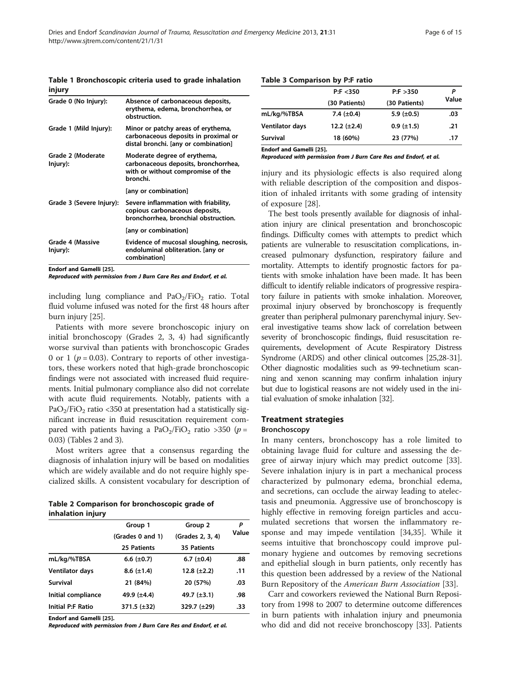<span id="page-5-0"></span>Table 1 Bronchoscopic criteria used to grade inhalation injury

| Grade 0 (No Injury):          | Absence of carbonaceous deposits,<br>erythema, edema, bronchorrhea, or<br>obstruction.                                |
|-------------------------------|-----------------------------------------------------------------------------------------------------------------------|
| Grade 1 (Mild Injury):        | Minor or patchy areas of erythema,<br>carbonaceous deposits in proximal or<br>distal bronchi. [any or combination]    |
| Grade 2 (Moderate<br>Injury): | Moderate degree of erythema,<br>carbonaceous deposits, bronchorrhea,<br>with or without compromise of the<br>bronchi. |
|                               | [any or combination]                                                                                                  |
| Grade 3 (Severe Injury):      | Severe inflammation with friability,<br>copious carbonaceous deposits,<br>bronchorrhea, bronchial obstruction.        |
|                               | [any or combination]                                                                                                  |
| Grade 4 (Massive<br>Injury):  | Evidence of mucosal sloughing, necrosis,<br>endoluminal obliteration. [any or<br>combination]                         |
|                               |                                                                                                                       |

Endorf and Gamelli [[25\]](#page-12-0).

Reproduced with permission from J Burn Care Res and Endorf, et al.

including lung compliance and  $PaO<sub>2</sub>/FiO<sub>2</sub>$  ratio. Total fluid volume infused was noted for the first 48 hours after burn injury [[25](#page-12-0)].

Patients with more severe bronchoscopic injury on initial bronchoscopy (Grades 2, 3, 4) had significantly worse survival than patients with bronchoscopic Grades 0 or 1 ( $p = 0.03$ ). Contrary to reports of other investigators, these workers noted that high-grade bronchoscopic findings were not associated with increased fluid requirements. Initial pulmonary compliance also did not correlate with acute fluid requirements. Notably, patients with a  $PaO<sub>2</sub>/FiO<sub>2</sub>$  ratio <350 at presentation had a statistically significant increase in fluid resuscitation requirement compared with patients having a PaO<sub>2</sub>/FiO<sub>2</sub> ratio >350 (p = 0.03) (Tables 2 and 3).

Most writers agree that a consensus regarding the diagnosis of inhalation injury will be based on modalities which are widely available and do not require highly specialized skills. A consistent vocabulary for description of

Table 2 Comparison for bronchoscopic grade of inhalation injury

|                          | Group 1<br>(Grades 0 and 1) | Group 2<br>(Grades 2, 3, 4) | Ρ<br>Value |
|--------------------------|-----------------------------|-----------------------------|------------|
|                          |                             |                             |            |
|                          | 25 Patients                 | 35 Patients                 |            |
| mL/kg/%TBSA              | 6.6 $(\pm 0.7)$             | 6.7 $(\pm 0.4)$             | .88        |
| <b>Ventilator days</b>   | $8.6 \ (\pm 1.4)$           | 12.8 $(\pm 2.2)$            | .11        |
| Survival                 | 21 (84%)                    | 20 (57%)                    | .03        |
| Initial compliance       | 49.9 $(\pm 4.4)$            | 49.7 $(\pm 3.1)$            | .98        |
| <b>Initial P:F Ratio</b> | 371.5 (±32)                 | 329.7 (±29)                 | .33        |

Endorf and Gamelli [[25\]](#page-12-0).

Reproduced with permission from J Burn Care Res and Endorf, et al.

# Table 3 Comparison by P:F ratio

|                 | P: F < 350<br>(30 Patients) | P: F > 350<br>(30 Patients) | Value |
|-----------------|-----------------------------|-----------------------------|-------|
|                 |                             |                             |       |
| mL/kg/%TBSA     | 7.4 $(\pm 0.4)$             | 5.9 $(\pm 0.5)$             | .03   |
| Ventilator days | 12.2 $(\pm 2.4)$            | $0.9$ ( $\pm$ 1.5)          | .21   |
| Survival        | 18 (60%)                    | 23 (77%)                    | .17   |

Endorf and Gamelli [[25\]](#page-12-0).

Reproduced with permission from J Burn Care Res and Endorf, et al.

injury and its physiologic effects is also required along with reliable description of the composition and disposition of inhaled irritants with some grading of intensity of exposure [\[28](#page-12-0)].

The best tools presently available for diagnosis of inhalation injury are clinical presentation and bronchoscopic findings. Difficulty comes with attempts to predict which patients are vulnerable to resuscitation complications, increased pulmonary dysfunction, respiratory failure and mortality. Attempts to identify prognostic factors for patients with smoke inhalation have been made. It has been difficult to identify reliable indicators of progressive respiratory failure in patients with smoke inhalation. Moreover, proximal injury observed by bronchoscopy is frequently greater than peripheral pulmonary parenchymal injury. Several investigative teams show lack of correlation between severity of bronchoscopic findings, fluid resuscitation requirements, development of Acute Respiratory Distress Syndrome (ARDS) and other clinical outcomes [[25,28-31](#page-12-0)]. Other diagnostic modalities such as 99-technetium scanning and xenon scanning may confirm inhalation injury but due to logistical reasons are not widely used in the initial evaluation of smoke inhalation [\[32](#page-12-0)].

# Treatment strategies

#### Bronchoscopy

In many centers, bronchoscopy has a role limited to obtaining lavage fluid for culture and assessing the degree of airway injury which may predict outcome [\[33](#page-13-0)]. Severe inhalation injury is in part a mechanical process characterized by pulmonary edema, bronchial edema, and secretions, can occlude the airway leading to atelectasis and pneumonia. Aggressive use of bronchoscopy is highly effective in removing foreign particles and accumulated secretions that worsen the inflammatory response and may impede ventilation [[34,35](#page-13-0)]. While it seems intuitive that bronchoscopy could improve pulmonary hygiene and outcomes by removing secretions and epithelial slough in burn patients, only recently has this question been addressed by a review of the National Burn Repository of the American Burn Association [[33\]](#page-13-0).

Carr and coworkers reviewed the National Burn Repository from 1998 to 2007 to determine outcome differences in burn patients with inhalation injury and pneumonia who did and did not receive bronchoscopy [\[33\]](#page-13-0). Patients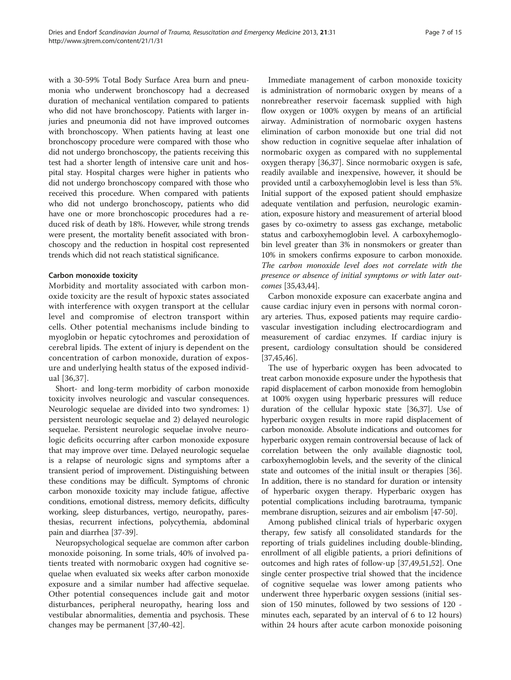with a 30-59% Total Body Surface Area burn and pneumonia who underwent bronchoscopy had a decreased duration of mechanical ventilation compared to patients who did not have bronchoscopy. Patients with larger injuries and pneumonia did not have improved outcomes with bronchoscopy. When patients having at least one bronchoscopy procedure were compared with those who did not undergo bronchoscopy, the patients receiving this test had a shorter length of intensive care unit and hospital stay. Hospital charges were higher in patients who did not undergo bronchoscopy compared with those who received this procedure. When compared with patients who did not undergo bronchoscopy, patients who did have one or more bronchoscopic procedures had a reduced risk of death by 18%. However, while strong trends were present, the mortality benefit associated with bronchoscopy and the reduction in hospital cost represented trends which did not reach statistical significance.

## Carbon monoxide toxicity

Morbidity and mortality associated with carbon monoxide toxicity are the result of hypoxic states associated with interference with oxygen transport at the cellular level and compromise of electron transport within cells. Other potential mechanisms include binding to myoglobin or hepatic cytochromes and peroxidation of cerebral lipids. The extent of injury is dependent on the concentration of carbon monoxide, duration of exposure and underlying health status of the exposed individual [\[36](#page-13-0),[37\]](#page-13-0).

Short- and long-term morbidity of carbon monoxide toxicity involves neurologic and vascular consequences. Neurologic sequelae are divided into two syndromes: 1) persistent neurologic sequelae and 2) delayed neurologic sequelae. Persistent neurologic sequelae involve neurologic deficits occurring after carbon monoxide exposure that may improve over time. Delayed neurologic sequelae is a relapse of neurologic signs and symptoms after a transient period of improvement. Distinguishing between these conditions may be difficult. Symptoms of chronic carbon monoxide toxicity may include fatigue, affective conditions, emotional distress, memory deficits, difficulty working, sleep disturbances, vertigo, neuropathy, paresthesias, recurrent infections, polycythemia, abdominal pain and diarrhea [[37](#page-13-0)-[39](#page-13-0)].

Neuropsychological sequelae are common after carbon monoxide poisoning. In some trials, 40% of involved patients treated with normobaric oxygen had cognitive sequelae when evaluated six weeks after carbon monoxide exposure and a similar number had affective sequelae. Other potential consequences include gait and motor disturbances, peripheral neuropathy, hearing loss and vestibular abnormalities, dementia and psychosis. These changes may be permanent [[37,40-42\]](#page-13-0).

Immediate management of carbon monoxide toxicity is administration of normobaric oxygen by means of a nonrebreather reservoir facemask supplied with high flow oxygen or 100% oxygen by means of an artificial airway. Administration of normobaric oxygen hastens elimination of carbon monoxide but one trial did not show reduction in cognitive sequelae after inhalation of normobaric oxygen as compared with no supplemental oxygen therapy [[36](#page-13-0),[37](#page-13-0)]. Since normobaric oxygen is safe, readily available and inexpensive, however, it should be provided until a carboxyhemoglobin level is less than 5%. Initial support of the exposed patient should emphasize adequate ventilation and perfusion, neurologic examination, exposure history and measurement of arterial blood gases by co-oximetry to assess gas exchange, metabolic status and carboxyhemoglobin level. A carboxyhemoglobin level greater than 3% in nonsmokers or greater than 10% in smokers confirms exposure to carbon monoxide. The carbon monoxide level does not correlate with the presence or absence of initial symptoms or with later outcomes [\[35,43,44](#page-13-0)].

Carbon monoxide exposure can exacerbate angina and cause cardiac injury even in persons with normal coronary arteries. Thus, exposed patients may require cardiovascular investigation including electrocardiogram and measurement of cardiac enzymes. If cardiac injury is present, cardiology consultation should be considered [[37,45,46\]](#page-13-0).

The use of hyperbaric oxygen has been advocated to treat carbon monoxide exposure under the hypothesis that rapid displacement of carbon monoxide from hemoglobin at 100% oxygen using hyperbaric pressures will reduce duration of the cellular hypoxic state [\[36,37\]](#page-13-0). Use of hyperbaric oxygen results in more rapid displacement of carbon monoxide. Absolute indications and outcomes for hyperbaric oxygen remain controversial because of lack of correlation between the only available diagnostic tool, carboxyhemoglobin levels, and the severity of the clinical state and outcomes of the initial insult or therapies [[36](#page-13-0)]. In addition, there is no standard for duration or intensity of hyperbaric oxygen therapy. Hyperbaric oxygen has potential complications including barotrauma, tympanic membrane disruption, seizures and air embolism [\[47-50\]](#page-13-0).

Among published clinical trials of hyperbaric oxygen therapy, few satisfy all consolidated standards for the reporting of trials guidelines including double-blinding, enrollment of all eligible patients, a priori definitions of outcomes and high rates of follow-up [[37,49,51](#page-13-0),[52](#page-13-0)]. One single center prospective trial showed that the incidence of cognitive sequelae was lower among patients who underwent three hyperbaric oxygen sessions (initial session of 150 minutes, followed by two sessions of 120 minutes each, separated by an interval of 6 to 12 hours) within 24 hours after acute carbon monoxide poisoning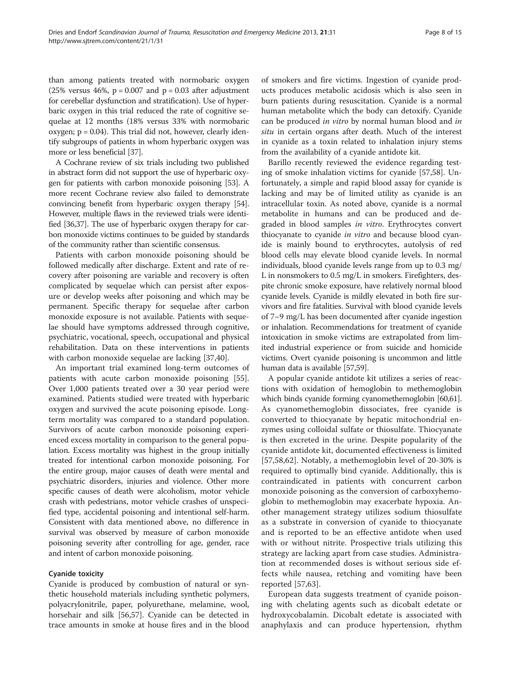than among patients treated with normobaric oxygen (25% versus 46%,  $p = 0.007$  and  $p = 0.03$  after adjustment for cerebellar dysfunction and stratification). Use of hyperbaric oxygen in this trial reduced the rate of cognitive sequelae at 12 months (18% versus 33% with normobaric oxygen;  $p = 0.04$ ). This trial did not, however, clearly identify subgroups of patients in whom hyperbaric oxygen was more or less beneficial [[37\]](#page-13-0).

A Cochrane review of six trials including two published in abstract form did not support the use of hyperbaric oxygen for patients with carbon monoxide poisoning [\[53\]](#page-13-0). A more recent Cochrane review also failed to demonstrate convincing benefit from hyperbaric oxygen therapy [\[54](#page-13-0)]. However, multiple flaws in the reviewed trials were identified [\[36,37](#page-13-0)]. The use of hyperbaric oxygen therapy for carbon monoxide victims continues to be guided by standards of the community rather than scientific consensus.

Patients with carbon monoxide poisoning should be followed medically after discharge. Extent and rate of recovery after poisoning are variable and recovery is often complicated by sequelae which can persist after exposure or develop weeks after poisoning and which may be permanent. Specific therapy for sequelae after carbon monoxide exposure is not available. Patients with sequelae should have symptoms addressed through cognitive, psychiatric, vocational, speech, occupational and physical rehabilitation. Data on these interventions in patients with carbon monoxide sequelae are lacking [\[37,40\]](#page-13-0).

An important trial examined long-term outcomes of patients with acute carbon monoxide poisoning [\[55](#page-13-0)]. Over 1,000 patients treated over a 30 year period were examined. Patients studied were treated with hyperbaric oxygen and survived the acute poisoning episode. Longterm mortality was compared to a standard population. Survivors of acute carbon monoxide poisoning experienced excess mortality in comparison to the general population. Excess mortality was highest in the group initially treated for intentional carbon monoxide poisoning. For the entire group, major causes of death were mental and psychiatric disorders, injuries and violence. Other more specific causes of death were alcoholism, motor vehicle crash with pedestrians, motor vehicle crashes of unspecified type, accidental poisoning and intentional self-harm. Consistent with data mentioned above, no difference in survival was observed by measure of carbon monoxide poisoning severity after controlling for age, gender, race and intent of carbon monoxide poisoning.

# Cyanide toxicity

Cyanide is produced by combustion of natural or synthetic household materials including synthetic polymers, polyacrylonitrile, paper, polyurethane, melamine, wool, horsehair and silk [[56,57\]](#page-13-0). Cyanide can be detected in trace amounts in smoke at house fires and in the blood

of smokers and fire victims. Ingestion of cyanide products produces metabolic acidosis which is also seen in burn patients during resuscitation. Cyanide is a normal human metabolite which the body can detoxify. Cyanide can be produced in vitro by normal human blood and in situ in certain organs after death. Much of the interest in cyanide as a toxin related to inhalation injury stems from the availability of a cyanide antidote kit.

Barillo recently reviewed the evidence regarding testing of smoke inhalation victims for cyanide [[57,58\]](#page-13-0). Unfortunately, a simple and rapid blood assay for cyanide is lacking and may be of limited utility as cyanide is an intracellular toxin. As noted above, cyanide is a normal metabolite in humans and can be produced and degraded in blood samples in vitro. Erythrocytes convert thiocyanate to cyanide in vitro and because blood cyanide is mainly bound to erythrocytes, autolysis of red blood cells may elevate blood cyanide levels. In normal individuals, blood cyanide levels range from up to 0.3 mg/ L in nonsmokers to 0.5 mg/L in smokers. Firefighters, despite chronic smoke exposure, have relatively normal blood cyanide levels. Cyanide is mildly elevated in both fire survivors and fire fatalities. Survival with blood cyanide levels of 7–9 mg/L has been documented after cyanide ingestion or inhalation. Recommendations for treatment of cyanide intoxication in smoke victims are extrapolated from limited industrial experience or from suicide and homicide victims. Overt cyanide poisoning is uncommon and little human data is available [\[57,59\]](#page-13-0).

A popular cyanide antidote kit utilizes a series of reactions with oxidation of hemoglobin to methemoglobin which binds cyanide forming cyanomethemoglobin [[60,61](#page-13-0)]. As cyanomethemoglobin dissociates, free cyanide is converted to thiocyanate by hepatic mitochondrial enzymes using colloidal sulfate or thiosulfate. Thiocyanate is then excreted in the urine. Despite popularity of the cyanide antidote kit, documented effectiveness is limited [[57,58,62](#page-13-0)]. Notably, a methemoglobin level of 20-30% is required to optimally bind cyanide. Additionally, this is contraindicated in patients with concurrent carbon monoxide poisoning as the conversion of carboxyhemoglobin to methemoglobin may exacerbate hypoxia. Another management strategy utilizes sodium thiosulfate as a substrate in conversion of cyanide to thiocyanate and is reported to be an effective antidote when used with or without nitrite. Prospective trials utilizing this strategy are lacking apart from case studies. Administration at recommended doses is without serious side effects while nausea, retching and vomiting have been reported [\[57,63](#page-13-0)].

European data suggests treatment of cyanide poisoning with chelating agents such as dicobalt edetate or hydroxycobalamin. Dicobalt edetate is associated with anaphylaxis and can produce hypertension, rhythm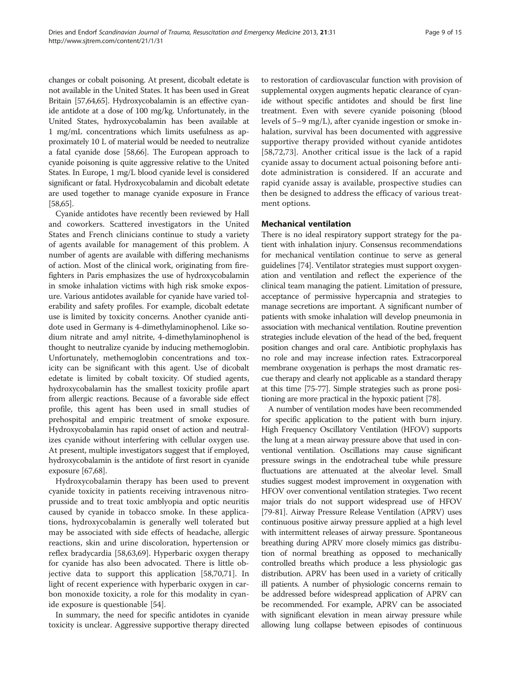changes or cobalt poisoning. At present, dicobalt edetate is not available in the United States. It has been used in Great Britain [\[57,64,65\]](#page-13-0). Hydroxycobalamin is an effective cyanide antidote at a dose of 100 mg/kg. Unfortunately, in the United States, hydroxycobalamin has been available at 1 mg/mL concentrations which limits usefulness as approximately 10 L of material would be needed to neutralize a fatal cyanide dose [\[58,66](#page-13-0)]. The European approach to cyanide poisoning is quite aggressive relative to the United States. In Europe, 1 mg/L blood cyanide level is considered significant or fatal. Hydroxycobalamin and dicobalt edetate are used together to manage cyanide exposure in France [[58,65\]](#page-13-0).

Cyanide antidotes have recently been reviewed by Hall and coworkers. Scattered investigators in the United States and French clinicians continue to study a variety of agents available for management of this problem. A number of agents are available with differing mechanisms of action. Most of the clinical work, originating from firefighters in Paris emphasizes the use of hydroxycobalamin in smoke inhalation victims with high risk smoke exposure. Various antidotes available for cyanide have varied tolerability and safety profiles. For example, dicobalt edetate use is limited by toxicity concerns. Another cyanide antidote used in Germany is 4-dimethylaminophenol. Like sodium nitrate and amyl nitrite, 4-dimethylaminophenol is thought to neutralize cyanide by inducing methemoglobin. Unfortunately, methemoglobin concentrations and toxicity can be significant with this agent. Use of dicobalt edetate is limited by cobalt toxicity. Of studied agents, hydroxycobalamin has the smallest toxicity profile apart from allergic reactions. Because of a favorable side effect profile, this agent has been used in small studies of prehospital and empiric treatment of smoke exposure. Hydroxycobalamin has rapid onset of action and neutralizes cyanide without interfering with cellular oxygen use. At present, multiple investigators suggest that if employed, hydroxycobalamin is the antidote of first resort in cyanide exposure [\[67,68\]](#page-13-0).

Hydroxycobalamin therapy has been used to prevent cyanide toxicity in patients receiving intravenous nitroprusside and to treat toxic amblyopia and optic neuritis caused by cyanide in tobacco smoke. In these applications, hydroxycobalamin is generally well tolerated but may be associated with side effects of headache, allergic reactions, skin and urine discoloration, hypertension or reflex bradycardia [[58](#page-13-0),[63](#page-13-0),[69](#page-13-0)]. Hyperbaric oxygen therapy for cyanide has also been advocated. There is little objective data to support this application [\[58,70,71\]](#page-13-0). In light of recent experience with hyperbaric oxygen in carbon monoxide toxicity, a role for this modality in cyanide exposure is questionable [\[54](#page-13-0)].

In summary, the need for specific antidotes in cyanide toxicity is unclear. Aggressive supportive therapy directed

to restoration of cardiovascular function with provision of supplemental oxygen augments hepatic clearance of cyanide without specific antidotes and should be first line treatment. Even with severe cyanide poisoning (blood levels of 5–9 mg/L), after cyanide ingestion or smoke inhalation, survival has been documented with aggressive supportive therapy provided without cyanide antidotes [[58,72,73](#page-13-0)]. Another critical issue is the lack of a rapid cyanide assay to document actual poisoning before antidote administration is considered. If an accurate and rapid cyanide assay is available, prospective studies can then be designed to address the efficacy of various treatment options.

# Mechanical ventilation

There is no ideal respiratory support strategy for the patient with inhalation injury. Consensus recommendations for mechanical ventilation continue to serve as general guidelines [\[74](#page-13-0)]. Ventilator strategies must support oxygenation and ventilation and reflect the experience of the clinical team managing the patient. Limitation of pressure, acceptance of permissive hypercapnia and strategies to manage secretions are important. A significant number of patients with smoke inhalation will develop pneumonia in association with mechanical ventilation. Routine prevention strategies include elevation of the head of the bed, frequent position changes and oral care. Antibiotic prophylaxis has no role and may increase infection rates. Extracorporeal membrane oxygenation is perhaps the most dramatic rescue therapy and clearly not applicable as a standard therapy at this time [[75](#page-13-0)-[77](#page-13-0)]. Simple strategies such as prone positioning are more practical in the hypoxic patient [\[78\]](#page-13-0).

A number of ventilation modes have been recommended for specific application to the patient with burn injury. High Frequency Oscillatory Ventilation (HFOV) supports the lung at a mean airway pressure above that used in conventional ventilation. Oscillations may cause significant pressure swings in the endotracheal tube while pressure fluctuations are attenuated at the alveolar level. Small studies suggest modest improvement in oxygenation with HFOV over conventional ventilation strategies. Two recent major trials do not support widespread use of HFOV [[79](#page-13-0)-[81](#page-13-0)]. Airway Pressure Release Ventilation (APRV) uses continuous positive airway pressure applied at a high level with intermittent releases of airway pressure. Spontaneous breathing during APRV more closely mimics gas distribution of normal breathing as opposed to mechanically controlled breaths which produce a less physiologic gas distribution. APRV has been used in a variety of critically ill patients. A number of physiologic concerns remain to be addressed before widespread application of APRV can be recommended. For example, APRV can be associated with significant elevation in mean airway pressure while allowing lung collapse between episodes of continuous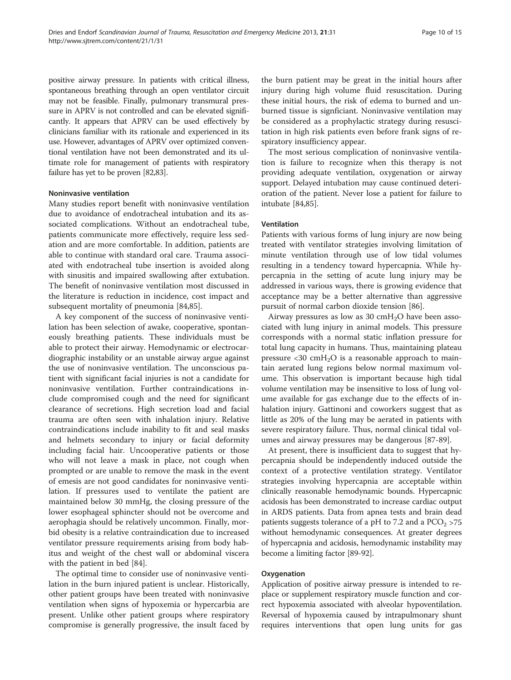positive airway pressure. In patients with critical illness, spontaneous breathing through an open ventilator circuit may not be feasible. Finally, pulmonary transmural pressure in APRV is not controlled and can be elevated significantly. It appears that APRV can be used effectively by clinicians familiar with its rationale and experienced in its use. However, advantages of APRV over optimized conventional ventilation have not been demonstrated and its ultimate role for management of patients with respiratory failure has yet to be proven [[82,83\]](#page-13-0).

### Noninvasive ventilation

Many studies report benefit with noninvasive ventilation due to avoidance of endotracheal intubation and its associated complications. Without an endotracheal tube, patients communicate more effectively, require less sedation and are more comfortable. In addition, patients are able to continue with standard oral care. Trauma associated with endotracheal tube insertion is avoided along with sinusitis and impaired swallowing after extubation. The benefit of noninvasive ventilation most discussed in the literature is reduction in incidence, cost impact and subsequent mortality of pneumonia [[84,85\]](#page-13-0).

A key component of the success of noninvasive ventilation has been selection of awake, cooperative, spontaneously breathing patients. These individuals must be able to protect their airway. Hemodynamic or electrocardiographic instability or an unstable airway argue against the use of noninvasive ventilation. The unconscious patient with significant facial injuries is not a candidate for noninvasive ventilation. Further contraindications include compromised cough and the need for significant clearance of secretions. High secretion load and facial trauma are often seen with inhalation injury. Relative contraindications include inability to fit and seal masks and helmets secondary to injury or facial deformity including facial hair. Uncooperative patients or those who will not leave a mask in place, not cough when prompted or are unable to remove the mask in the event of emesis are not good candidates for noninvasive ventilation. If pressures used to ventilate the patient are maintained below 30 mmHg, the closing pressure of the lower esophageal sphincter should not be overcome and aerophagia should be relatively uncommon. Finally, morbid obesity is a relative contraindication due to increased ventilator pressure requirements arising from body habitus and weight of the chest wall or abdominal viscera with the patient in bed [\[84](#page-13-0)].

The optimal time to consider use of noninvasive ventilation in the burn injured patient is unclear. Historically, other patient groups have been treated with noninvasive ventilation when signs of hypoxemia or hypercarbia are present. Unlike other patient groups where respiratory compromise is generally progressive, the insult faced by the burn patient may be great in the initial hours after injury during high volume fluid resuscitation. During these initial hours, the risk of edema to burned and unburned tissue is signficiant. Noninvasive ventilation may be considered as a prophylactic strategy during resuscitation in high risk patients even before frank signs of respiratory insufficiency appear.

The most serious complication of noninvasive ventilation is failure to recognize when this therapy is not providing adequate ventilation, oxygenation or airway support. Delayed intubation may cause continued deterioration of the patient. Never lose a patient for failure to intubate [\[84,85](#page-13-0)].

#### Ventilation

Patients with various forms of lung injury are now being treated with ventilator strategies involving limitation of minute ventilation through use of low tidal volumes resulting in a tendency toward hypercapnia. While hypercapnia in the setting of acute lung injury may be addressed in various ways, there is growing evidence that acceptance may be a better alternative than aggressive pursuit of normal carbon dioxide tension [[86\]](#page-14-0).

Airway pressures as low as 30  $\text{cm}H_2\text{O}$  have been associated with lung injury in animal models. This pressure corresponds with a normal static inflation pressure for total lung capacity in humans. Thus, maintaining plateau pressure  $\langle 30 \text{ cm} H_2O \rangle$  is a reasonable approach to maintain aerated lung regions below normal maximum volume. This observation is important because high tidal volume ventilation may be insensitive to loss of lung volume available for gas exchange due to the effects of inhalation injury. Gattinoni and coworkers suggest that as little as 20% of the lung may be aerated in patients with severe respiratory failure. Thus, normal clinical tidal volumes and airway pressures may be dangerous [\[87-89](#page-14-0)].

At present, there is insufficient data to suggest that hypercapnia should be independently induced outside the context of a protective ventilation strategy. Ventilator strategies involving hypercapnia are acceptable within clinically reasonable hemodynamic bounds. Hypercapnic acidosis has been demonstrated to increase cardiac output in ARDS patients. Data from apnea tests and brain dead patients suggests tolerance of a pH to 7.2 and a  $PCO<sub>2</sub> > 75$ without hemodynamic consequences. At greater degrees of hypercapnia and acidosis, hemodynamic instability may become a limiting factor [\[89-92\]](#page-14-0).

#### **Oxygenation**

Application of positive airway pressure is intended to replace or supplement respiratory muscle function and correct hypoxemia associated with alveolar hypoventilation. Reversal of hypoxemia caused by intrapulmonary shunt requires interventions that open lung units for gas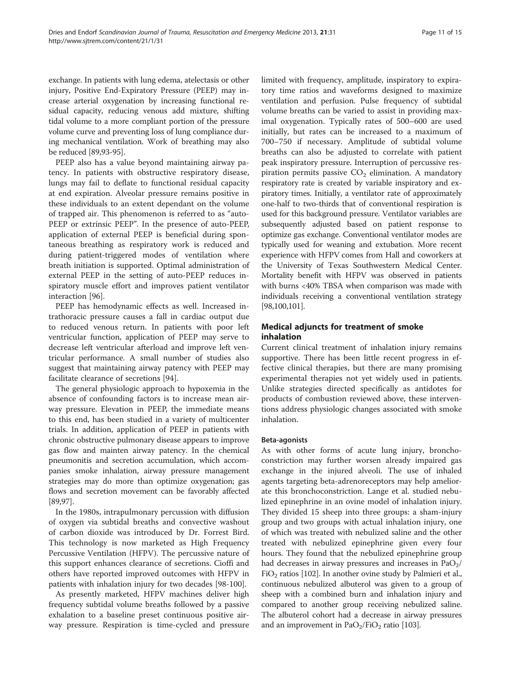exchange. In patients with lung edema, atelectasis or other injury, Positive End-Expiratory Pressure (PEEP) may increase arterial oxygenation by increasing functional residual capacity, reducing venous add mixture, shifting tidal volume to a more compliant portion of the pressure volume curve and preventing loss of lung compliance during mechanical ventilation. Work of breathing may also be reduced [\[89,93-95\]](#page-14-0).

PEEP also has a value beyond maintaining airway patency. In patients with obstructive respiratory disease, lungs may fail to deflate to functional residual capacity at end expiration. Alveolar pressure remains positive in these individuals to an extent dependant on the volume of trapped air. This phenomenon is referred to as "auto-PEEP or extrinsic PEEP". In the presence of auto-PEEP, application of external PEEP is beneficial during spontaneous breathing as respiratory work is reduced and during patient-triggered modes of ventilation where breath initiation is supported. Optimal administration of external PEEP in the setting of auto-PEEP reduces inspiratory muscle effort and improves patient ventilator interaction [\[96\]](#page-14-0).

PEEP has hemodynamic effects as well. Increased intrathoracic pressure causes a fall in cardiac output due to reduced venous return. In patients with poor left ventricular function, application of PEEP may serve to decrease left ventricular afterload and improve left ventricular performance. A small number of studies also suggest that maintaining airway patency with PEEP may facilitate clearance of secretions [[94\]](#page-14-0).

The general physiologic approach to hypoxemia in the absence of confounding factors is to increase mean airway pressure. Elevation in PEEP, the immediate means to this end, has been studied in a variety of multicenter trials. In addition, application of PEEP in patients with chronic obstructive pulmonary disease appears to improve gas flow and mainten airway patency. In the chemical pneumonitis and secretion accumulation, which accompanies smoke inhalation, airway pressure management strategies may do more than optimize oxygenation; gas flows and secretion movement can be favorably affected [[89,97](#page-14-0)].

In the 1980s, intrapulmonary percussion with diffusion of oxygen via subtidal breaths and convective washout of carbon dioxide was introduced by Dr. Forrest Bird. This technology is now marketed as High Frequency Percussive Ventilation (HFPV). The percussive nature of this support enhances clearance of secretions. Cioffi and others have reported improved outcomes with HFPV in patients with inhalation injury for two decades [[98-100](#page-14-0)].

As presently marketed, HFPV machines deliver high frequency subtidal volume breaths followed by a passive exhalation to a baseline preset continuous positive airway pressure. Respiration is time-cycled and pressure limited with frequency, amplitude, inspiratory to expiratory time ratios and waveforms designed to maximize ventilation and perfusion. Pulse frequency of subtidal volume breaths can be varied to assist in providing maximal oxygenation. Typically rates of 500–600 are used initially, but rates can be increased to a maximum of 700–750 if necessary. Amplitude of subtidal volume breaths can also be adjusted to correlate with patient peak inspiratory pressure. Interruption of percussive respiration permits passive  $CO<sub>2</sub>$  elimination. A mandatory respiratory rate is created by variable inspiratory and expiratory times. Initially, a ventilator rate of approximately one-half to two-thirds that of conventional respiration is used for this background pressure. Ventilator variables are subsequently adjusted based on patient response to optimize gas exchange. Conventional ventilator modes are typically used for weaning and extubation. More recent experience with HFPV comes from Hall and coworkers at the University of Texas Southwestern Medical Center. Mortality benefit with HFPV was observed in patients with burns <40% TBSA when comparison was made with individuals receiving a conventional ventilation strategy [[98](#page-14-0),[100,101](#page-14-0)].

# Medical adjuncts for treatment of smoke inhalation

Current clinical treatment of inhalation injury remains supportive. There has been little recent progress in effective clinical therapies, but there are many promising experimental therapies not yet widely used in patients. Unlike strategies directed specifically as antidotes for products of combustion reviewed above, these interventions address physiologic changes associated with smoke inhalation.

# Beta-agonists

As with other forms of acute lung injury, bronchoconstriction may further worsen already impaired gas exchange in the injured alveoli. The use of inhaled agents targeting beta-adrenoreceptors may help ameliorate this bronchoconstriction. Lange et al. studied nebulized epinephrine in an ovine model of inhalation injury. They divided 15 sheep into three groups: a sham-injury group and two groups with actual inhalation injury, one of which was treated with nebulized saline and the other treated with nebulized epinephrine given every four hours. They found that the nebulized epinephrine group had decreases in airway pressures and increases in  $PaO<sub>2</sub>/$  $FiO<sub>2</sub>$  ratios [\[102\]](#page-14-0). In another ovine study by Palmieri et al., continuous nebulized albuterol was given to a group of sheep with a combined burn and inhalation injury and compared to another group receiving nebulized saline. The albuterol cohort had a decrease in airway pressures and an improvement in  $PaO<sub>2</sub>/FiO<sub>2</sub>$  ratio [\[103\]](#page-14-0).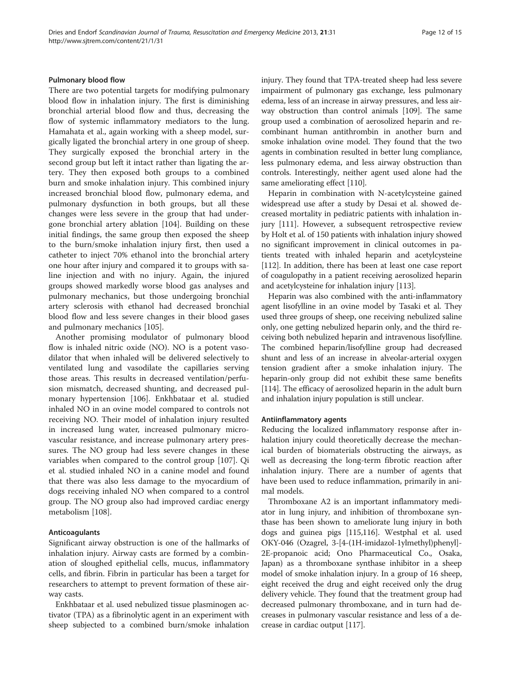# Pulmonary blood flow

There are two potential targets for modifying pulmonary blood flow in inhalation injury. The first is diminishing bronchial arterial blood flow and thus, decreasing the flow of systemic inflammatory mediators to the lung. Hamahata et al., again working with a sheep model, surgically ligated the bronchial artery in one group of sheep. They surgically exposed the bronchial artery in the second group but left it intact rather than ligating the artery. They then exposed both groups to a combined burn and smoke inhalation injury. This combined injury increased bronchial blood flow, pulmonary edema, and pulmonary dysfunction in both groups, but all these changes were less severe in the group that had undergone bronchial artery ablation [[104\]](#page-14-0). Building on these initial findings, the same group then exposed the sheep to the burn/smoke inhalation injury first, then used a catheter to inject 70% ethanol into the bronchial artery one hour after injury and compared it to groups with saline injection and with no injury. Again, the injured groups showed markedly worse blood gas analyses and pulmonary mechanics, but those undergoing bronchial artery sclerosis with ethanol had decreased bronchial blood flow and less severe changes in their blood gases and pulmonary mechanics [[105\]](#page-14-0).

Another promising modulator of pulmonary blood flow is inhaled nitric oxide (NO). NO is a potent vasodilator that when inhaled will be delivered selectively to ventilated lung and vasodilate the capillaries serving those areas. This results in decreased ventilation/perfusion mismatch, decreased shunting, and decreased pulmonary hypertension [\[106\]](#page-14-0). Enkhbataar et al. studied inhaled NO in an ovine model compared to controls not receiving NO. Their model of inhalation injury resulted in increased lung water, increased pulmonary microvascular resistance, and increase pulmonary artery pressures. The NO group had less severe changes in these variables when compared to the control group [[107\]](#page-14-0). Qi et al. studied inhaled NO in a canine model and found that there was also less damage to the myocardium of dogs receiving inhaled NO when compared to a control group. The NO group also had improved cardiac energy metabolism [\[108\]](#page-14-0).

# Anticoagulants

Significant airway obstruction is one of the hallmarks of inhalation injury. Airway casts are formed by a combination of sloughed epithelial cells, mucus, inflammatory cells, and fibrin. Fibrin in particular has been a target for researchers to attempt to prevent formation of these airway casts.

Enkhbataar et al. used nebulized tissue plasminogen activator (TPA) as a fibrinolytic agent in an experiment with sheep subjected to a combined burn/smoke inhalation injury. They found that TPA-treated sheep had less severe impairment of pulmonary gas exchange, less pulmonary edema, less of an increase in airway pressures, and less airway obstruction than control animals [\[109\]](#page-14-0). The same group used a combination of aerosolized heparin and recombinant human antithrombin in another burn and smoke inhalation ovine model. They found that the two agents in combination resulted in better lung compliance, less pulmonary edema, and less airway obstruction than controls. Interestingly, neither agent used alone had the same ameliorating effect [[110](#page-14-0)].

Heparin in combination with N-acetylcysteine gained widespread use after a study by Desai et al. showed decreased mortality in pediatric patients with inhalation injury [\[111\]](#page-14-0). However, a subsequent retrospective review by Holt et al. of 150 patients with inhalation injury showed no significant improvement in clinical outcomes in patients treated with inhaled heparin and acetylcysteine [[112](#page-14-0)]. In addition, there has been at least one case report of coagulopathy in a patient receiving aerosolized heparin and acetylcysteine for inhalation injury [\[113\]](#page-14-0).

Heparin was also combined with the anti-inflammatory agent lisofylline in an ovine model by Tasaki et al. They used three groups of sheep, one receiving nebulized saline only, one getting nebulized heparin only, and the third receiving both nebulized heparin and intravenous lisofylline. The combined heparin/lisofylline group had decreased shunt and less of an increase in alveolar-arterial oxygen tension gradient after a smoke inhalation injury. The heparin-only group did not exhibit these same benefits [[114](#page-14-0)]. The efficacy of aerosolized heparin in the adult burn and inhalation injury population is still unclear.

## Antiinflammatory agents

Reducing the localized inflammatory response after inhalation injury could theoretically decrease the mechanical burden of biomaterials obstructing the airways, as well as decreasing the long-term fibrotic reaction after inhalation injury. There are a number of agents that have been used to reduce inflammation, primarily in animal models.

Thromboxane A2 is an important inflammatory mediator in lung injury, and inhibition of thromboxane synthase has been shown to ameliorate lung injury in both dogs and guinea pigs [\[115,116](#page-14-0)]. Westphal et al. used OKY-046 (Ozagrel, 3-[4-(1H-imidazol-1ylmethyl)phenyl]- 2E-propanoic acid; Ono Pharmaceutical Co., Osaka, Japan) as a thromboxane synthase inhibitor in a sheep model of smoke inhalation injury. In a group of 16 sheep, eight received the drug and eight received only the drug delivery vehicle. They found that the treatment group had decreased pulmonary thromboxane, and in turn had decreases in pulmonary vascular resistance and less of a decrease in cardiac output [\[117](#page-14-0)].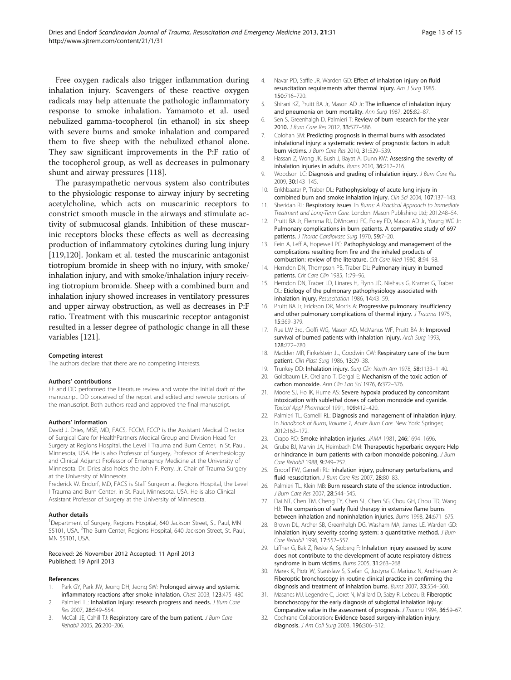<span id="page-12-0"></span>Free oxygen radicals also trigger inflammation during inhalation injury. Scavengers of these reactive oxygen radicals may help attenuate the pathologic inflammatory response to smoke inhalation. Yamamoto et al. used nebulized gamma-tocopherol (in ethanol) in six sheep with severe burns and smoke inhalation and compared them to five sheep with the nebulized ethanol alone. They saw significant improvements in the P:F ratio of the tocopherol group, as well as decreases in pulmonary shunt and airway pressures [[118\]](#page-14-0).

The parasympathetic nervous system also contributes to the physiologic response to airway injury by secreting acetylcholine, which acts on muscarinic receptors to constrict smooth muscle in the airways and stimulate activity of submucosal glands. Inhibition of these muscarinic receptors blocks these effects as well as decreasing production of inflammatory cytokines during lung injury [[119,120](#page-14-0)]. Jonkam et al. tested the muscarinic antagonist tiotropium bromide in sheep with no injury, with smoke/ inhalation injury, and with smoke/inhalation injury receiving tiotropium bromide. Sheep with a combined burn and inhalation injury showed increases in ventilatory pressures and upper airway obstruction, as well as decreases in P:F ratio. Treatment with this muscarinic receptor antagonist resulted in a lesser degree of pathologic change in all these variables [\[121](#page-14-0)].

#### Competing interest

The authors declare that there are no competing interests.

#### Authors' contributions

FE and DD performed the literature review and wrote the initial draft of the manuscript. DD conceived of the report and edited and rewrote portions of the manuscript. Both authors read and approved the final manuscript.

#### Authors' information

David J. Dries, MSE, MD, FACS, FCCM, FCCP is the Assistant Medical Director of Surgical Care for HealthPartners Medical Group and Division Head for Surgery at Regions Hospital, the Level I Trauma and Burn Center, in St. Paul, Minnesota, USA. He is also Professor of Surgery, Professor of Anesthesiology and Clinical Adjunct Professor of Emergency Medicine at the University of Minnesota. Dr. Dries also holds the John F. Perry, Jr. Chair of Trauma Surgery at the University of Minnesota.

Frederick W. Endorf, MD, FACS is Staff Surgeon at Regions Hospital, the Level I Trauma and Burn Center, in St. Paul, Minnesota, USA. He is also Clinical Assistant Professor of Surgery at the University of Minnesota.

#### Author details

<sup>1</sup>Department of Surgery, Regions Hospital, 640 Jackson Street, St. Paul, MN 55101, USA. <sup>2</sup>The Burn Center, Regions Hospital, 640 Jackson Street, St. Paul, MN 55101, USA.

#### Received: 26 November 2012 Accepted: 11 April 2013 Published: 19 April 2013

#### References

- 1. Park GY, Park JW, Jeong DH, Jeong SW: Prolonged airway and systemic inflammatory reactions after smoke inhalation. Chest 2003, 123:475–480.
- Palmieri TL: Inhalation injury: research progress and needs. J Burn Care Res 2007, 28:549–554.
- 3. McCall JE, Cahill TJ: Respiratory care of the burn patient. J Burn Care Rehabil 2005, 26:200–206.
- 4. Navar PD, Saffle JR, Warden GD: Effect of inhalation injury on fluid resuscitation requirements after thermal injury. Am J Surg 1985, 150:716–720.
- 5. Shirani KZ, Pruitt BA Jr, Mason AD Jr: The influence of inhalation injury and pneumonia on burn mortality. Ann Surg 1987, 205:82–87.
- 6. Sen S, Greenhalgh D, Palmieri T: Review of burn research for the year 2010. J Burn Care Res 2012, 33:577–586.
- 7. Colohan SM: Predicting prognosis in thermal burns with associated inhalational injury: a systematic review of prognostic factors in adult burn victims. J Burn Care Res 2010, 31:529–539.
- 8. Hassan Z, Wong JK, Bush J, Bayat A, Dunn KW: Assessing the severity of inhalation injuries in adults. Burns 2010, 36:212–216.
- Woodson LC: Diagnosis and grading of inhalation injury. J Burn Care Res 2009, 30:143–145.
- 10. Enkhbaatar P, Traber DL: Pathophysiology of acute lung injury in combined burn and smoke inhalation injury. Clin Sci 2004, 107:137-143.
- 11. Sheridan RL: Respiratory issues. In Burns: A Practical Approach to Immediate Treatment and Long-Term Care. London: Mason Publishing Ltd; 2012:48–54.
- 12. Pruitt BA Jr, Flemma RJ, DiVincenti FC, Foley FD, Mason AD Jr, Young WG Jr: Pulmonary complications in burn patients. A comparative study of 697 patients. J Thorac Cardiovasc Surg 1970, 59:7-20.
- 13. Fein A, Leff A, Hopewell PC: Pathophysiology and management of the complications resulting from fire and the inhaled products of combustion: review of the literature. Crit Care Med 1980, 8:94–98.
- 14. Herndon DN, Thompson PB, Traber DL: Pulmonary injury in burned patients. Crit Care Clin 1985, 1:79-96.
- 15. Herndon DN, Traber LD, Linares H, Flynn JD, Niehaus G, Kramer G, Traber DL: Etiology of the pulmonary pathophysiology associated with inhalation injury. Resuscitation 1986, 14:43–59.
- 16. Pruitt BA Jr, Erickson DR, Morris A: Progressive pulmonary insufficiency and other pulmonary complications of thermal injury. J Trauma 1975, 15:369–379.
- 17. Rue LW 3rd, Cioffi WG, Mason AD, McManus WF, Pruitt BA Jr: Improved survival of burned patients with inhalation injury. Arch Surg 1993, 128:772–780.
- 18. Madden MR, Finkelstein JL, Goodwin CW: Respiratory care of the burn patient. Clin Plast Surg 1986, 13:29-38.
- 19. Trunkey DD: Inhalation injury. Surg Clin North Am 1978, 58:1133-1140.
- 20. Goldbaum LR, Orellano T, Dergal E: Mechanism of the toxic action of carbon monoxide. Ann Clin Lab Sci 1976, 6:372–376.
- 21. Moore SJ, Ho IK, Hume AS: Severe hypoxia produced by concomitant intoxication with sublethal doses of carbon monoxide and cyanide. Toxicol Appl Pharmacol 1991, 109:412–420.
- 22. Palmieri TL, Gamelli RL: Diagnosis and management of inhalation injury. In Handbook of Burns, Volume 1, Acute Burn Care. New York: Springer; 2012:163–172.
- 23. Crapo RO: Smoke inhalation injuries. JAMA 1981, 246:1694–1696.
- 24. Grube BJ, Marvin JA, Heimbach DM: Therapeutic hyperbaric oxygen: Help or hindrance in burn patients with carbon monoxide poisoning. J Burn Care Rehabil 1988, 9:249-252.
- 25. Endorf FW, Gamelli RL: Inhalation injury, pulmonary perturbations, and fluid resuscitation. J Burn Care Res 2007, 28:80-83.
- 26. Palmieri TL, Klein MB: Burn research state of the science: introduction. J Burn Care Res 2007, 28:544-545.
- 27. Dai NT, Chen TM, Cheng TY, Chen SL, Chen SG, Chou GH, Chou TD, Wang HJ: The comparison of early fluid therapy in extensive flame burns between inhalation and noninhalation injuries. Burns 1998, 24:671–675.
- 28. Brown DL, Archer SB, Greenhalgh DG, Washam MA, James LE, Warden GD: Inhalation injury severity scoring system: a quantitative method. J Burn Care Rehabil 1996, 17:552–557.
- 29. Liffner G, Bak Z, Reske A, Sjoberg F: Inhalation injury assessed by score does not contribute to the development of acute respiratory distress syndrome in burn victims. Burns 2005, 31:263–268.
- 30. Marek K, Piotr W, Stanislaw S, Stefan G, Justyna G, Mariusz N, Andriessen A: Fiberoptic bronchoscopy in routine clinical practice in confirming the diagnosis and treatment of inhalation burns. Burns 2007, 33:554–560.
- 31. Masanes MJ, Legendre C, Lioret N, Maillard D, Saizy R, Lebeau B: Fiberoptic bronchoscopy for the early diagnosis of subglottal inhalation injury: Comparative value in the assessment of prognosis. J Trauma 1994, 36:59–67.
- 32. Cochrane Collaboration: Evidence based surgery-inhalation injury: diagnosis. J Am Coll Surg 2003, 196:306–312.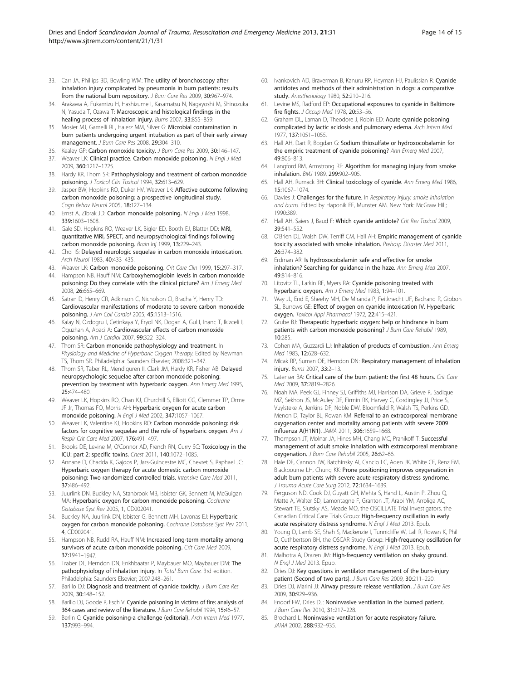- <span id="page-13-0"></span>33. Carr JA, Phillips BD, Bowling WM: The utility of bronchoscopy after inhalation injury complicated by pneumonia in burn patients: results from the national burn repository. J Burn Care Res 2009, 30:967-974.
- 34. Arakawa A, Fukamizu H, Hashizume I, Kasamatsu N, Nagayoshi M, Shinozuka N, Yasuda T, Ozawa T: Macroscopic and histological findings in the healing process of inhalation injury. Burns 2007, 33:855–859.
- 35. Mosier MJ, Gamelli RL, Halerz MM, Silver G: Microbial contamination in burn patients undergoing urgent intubation as part of their early airway management. J Burn Care Res 2008, 29:304-310.
- 36. Kealey GP: Carbon monoxide toxicity. J Burn Care Res 2009, 30:146-147.
- 37. Weaver LK: Clinical practice. Carbon monoxide poisoning. N Engl J Med 2009, 360:1217–1225.
- 38. Hardy KR, Thom SR: Pathophysiology and treatment of carbon monoxide poisoning. J Toxicol Clin Toxicol 1994, 32:613-629.
- 39. Jasper BW, Hopkins RO, Duker HV, Weaver LK: Affective outcome following carbon monoxide poisoning: a prospective longitudinal study. Cogn Behav Neurol 2005, 18:127–134.
- 40. Ernst A, Zibrak JD: Carbon monoxide poisoning. N Engl J Med 1998, 339:1603–1608.
- 41. Gale SD, Hopkins RO, Weaver LK, Bigler ED, Booth EJ, Blatter DD: MRI, quantitative MRI, SPECT, and neuropsychological findings following carbon monoxide poisoning. Brain Inj 1999, 13:229–243.
- 42. Choi IS: Delayed neurologic sequelae in carbon monoxide intoxication. Arch Neurol 1983, 40:433–435.
- 43. Weaver LK: Carbon monoxide poisoning. Crit Care Clin 1999, 15:297-317.
- 44. Hampson NB, Hauff NM: Carboxyhemoglobin levels in carbon monoxide poisoning: Do they correlate with the clinical picture? Am J Emerg Med 2008, 26:665–669.
- 45. Satran D, Henry CR, Adkinson C, Nicholson CI, Bracha Y, Henry TD: Cardiovascular manifestations of moderate to severe carbon monoxide poisoning. J Am Coll Cardiol 2005, 45:1513–1516.
- 46. Kalay N, Ozdogru I, Cetinkaya Y, Eryol NK, Dogan A, Gul I, Inanc T, Ikizceli I, Oguzhan A, Abaci A: Cardiovascular effects of carbon monoxide poisoning. Am J Cardiol 2007, 99:322–324.
- 47. Thom SR: Carbon monoxide pathophysiology and treatment. In Physiology and Medicine of Hyperbaric Oxygen Therapy. Edited by Newman TS, Thom SR. Philadelphia: Saunders Elsevier; 2008:321–347.
- 48. Thom SR, Taber RL, Mendiguren II, Clark JM, Hardy KR, Fisher AB: Delayed neuropsychologic sequelae after carbon monoxide poisoning: prevention by treatment with hyperbaric oxygen. Ann Emerg Med 1995, 25:474–480.
- 49. Weaver LK, Hopkins RO, Chan KJ, Churchill S, Elliott CG, Clemmer TP, Orme JF Jr, Thomas FO, Morris AH: Hyperbaric oxygen for acute carbon monoxide poisoning. N Engl J Med 2002, 347:1057–1067.
- 50. Weaver LK, Valentine KJ, Hopkins RO: Carbon monoxide poisoning: risk factors for cognitive sequelae and the role of hyperbaric oxygen. Am J Respir Crit Care Med 2007, 176:491–497.
- 51. Brooks DE, Levine M, O'Connor AD, French RN, Curry SC: Toxicology in the ICU: part 2: specific toxins. Chest 2011, 140:1072–1085.
- 52. Annane D, Chadda K, Gajdos P, Jars-Guincestre MC, Chevret S, Raphael JC: Hyperbaric oxygen therapy for acute domestic carbon monoxide poisoning: Two randomized controlled trials. Intensive Care Med 2011, 37:486–492.
- 53. Juurlink DN, Buckley NA, Stanbrook MB, Isbister GK, Bennett M, McGuigan MA: Hyperbaric oxygen for carbon monoxide poisoning. Cochrane Database Syst Rev 2005, 1, CD002041.
- 54. Buckley NA, Juurlink DN, Isbister G, Bennett MH, Lavonas EJ: Hyperbaric oxygen for carbon monoxide poisoning. Cochrane Database Syst Rev 2011, 4, CD002041.
- 55. Hampson NB, Rudd RA, Hauff NM: Increased long-term mortality among survivors of acute carbon monoxide poisoning. Crit Care Med 2009, 37:1941–1947.
- 56. Traber DL, Herndon DN, Enkhbaatar P, Maybauer MO, Maybauer DM: The pathophysiology of inhalation injury. In Total Burn Care. 3rd edition. Philadelphia: Saunders Elsevier; 2007:248–261.
- 57. Barillo DJ: Diagnosis and treatment of cyanide toxicity. J Burn Care Res 2009, 30:148–152.
- 58. Barillo DJ, Goode R, Esch V: Cyanide poisoning in victims of fire: analysis of 364 cases and review of the literature. J Burn Care Rehabil 1994, 15:46-57.
- 59. Berlin C: Cyanide poisoning-a challenge (editorial). Arch Intern Med 1977, 137:993–994.
- 60. Ivankovich AD, Braverman B, Kanuru RP, Heyman HJ, Paulissian R: Cyanide antidotes and methods of their administration in dogs: a comparative study. Anesthesiology 1980, 52:210–216.
- 61. Levine MS, Radford EP: Occupational exposures to cyanide in Baltimore fire fights. *J Occup Med* 1978, 20:53-56.
- 62. Graham DL, Laman D, Theodore J, Robin ED: Acute cyanide poisoning complicated by lactic acidosis and pulmonary edema. Arch Intern Med 1977, 137:1051–1055.
- 63. Hall AH, Dart R, Bogdan G: Sodium thiosulfate or hydroxocobalamin for the empiric treatment of cyanide poisoning? Ann Emerg Med 2007, 49:806–813.
- 64. Langford RM, Armstrong RF: Algorithm for managing injury from smoke inhalation. BMJ 1989, 299:902–905.
- 65. Hall AH, Rumack BH: Clinical toxicology of cyanide. Ann Emerg Med 1986, 15:1067–1074.
- 66. Davies J: Challenges for the future. In Respiratory injury: smoke inhalation and burns. Edited by Haponik EF, Munster AM. New York: McGraw Hill; 1990:389.
- 67. Hall AH, Saiers J, Baud F: Which cyanide antidote? Crit Rev Toxicol 2009, 39:541–552.
- 68. O'Brien DJ, Walsh DW, Terriff CM, Hall AH: Empiric management of cyanide toxicity associated with smoke inhalation. Prehosp Disaster Med 2011, 26:374–382.
- 69. Erdman AR: Is hydroxocobalamin safe and effective for smoke inhalation? Searching for guidance in the haze. Ann Emerg Med 2007, 49:814–816.
- 70. Litovitz TL, Larkin RF, Myers RA: Cyanide poisoning treated with hyperbaric oxygen. Am J Emerg Med 1983, 1:94–101.
- 71. Way JL, End E, Sheehy MH, De Miranda P, Feitknecht UF, Bachand R, Gibbon SL, Burrows GE: Effect of oxygen on cyanide intoxication IV. Hyperbaric oxygen. Toxicol Appl Pharmacol 1972, 22:415–421.
- 72. Grube BJ: Therapeutic hyperbaric oxygen: help or hindrance in burn patients with carbon monoxide poisoning? J Burn Care Rehabil 1989, 10:285.
- 73. Cohen MA, Guzzardi LJ: Inhalation of products of combustion. Ann Emerg Med 1983, 12:628–632.
- 74. Mlcak RP, Suman OE, Herndon DN: Respiratory management of inhalation injury. Burns 2007, 33:2–13.
- 75. Latenser BA: Critical care of the burn patient: the first 48 hours. Crit Care Med 2009, 37:2819–2826.
- 76. Noah MA, Peek GJ, Finney SJ, Griffiths MJ, Harrison DA, Grieve R, Sadique MZ, Sekhon JS, McAuley DF, Firmin RK, Harvey C, Cordingley JJ, Price S, Vuylsteke A, Jenkins DP, Noble DW, Bloomfield R, Walsh TS, Perkins GD, Menon D, Taylor BL, Rowan KM: Referral to an extracorporeal membrane oxygenation center and mortality among patients with severe 2009 influenza A(H1N1). JAMA 2011, 306:1659–1668.
- 77. Thompson JT, Molnar JA, Hines MH, Chang MC, Pranikoff T: Successful management of adult smoke inhalation with extracorporeal membrane oxygenation. J Burn Care Rehabil 2005, 26:62–66.
- Hale DF, Cannon JW, Batchinsky AI, Cancio LC, Aden JK, White CE, Renz EM, Blackbourne LH, Chung KK: Prone positioning improves oxygenation in adult burn patients with severe acute respiratory distress syndrome. J Trauma Acute Care Surg 2012, 72:1634–1639.
- 79. Ferguson ND, Cook DJ, Guyatt GH, Mehta S, Hand L, Austin P, Zhou Q, Matte A, Walter SD, Lamontagne F, Granton JT, Arabi YM, Arroliga AC, Stewart TE, Slutsky AS, Meade MO, the OSCILLATE Trial Investigators, the Canadian Critical Care Trials Group: High-frequency oscillation in early acute respiratory distress syndrome. N Engl J Med 2013. Epub.
- 80. Young D, Lamb SE, Shah S, Mackenzie I, Tunnicliffe W, Lall R, Rowan K, Phil D, Cuthbertson BH, the OSCAR Study Group: High-frequency oscillation for acute respiratory distress syndrome. N Engl J Med 2013. Epub.
- 81. Malhotra A, Drazen JM: High-frequency ventilation on shaky ground. N Engl J Med 2013. Epub.
- 82. Dries DJ: Key questions in ventilator management of the burn-injury patient (Second of two parts). J Burn Care Res 2009, 30:211-220.
- 83. Dries DJ, Marini JJ: Airway pressure release ventilation. J Burn Care Res 2009, 30:929–936.
- Endorf FW, Dries DJ: Noninvasive ventilation in the burned patient. J Burn Care Res 2010, 31:217–228.
- 85. Brochard L: Noninvasive ventilation for acute respiratory failure. JAMA 2002, 288:932–935.